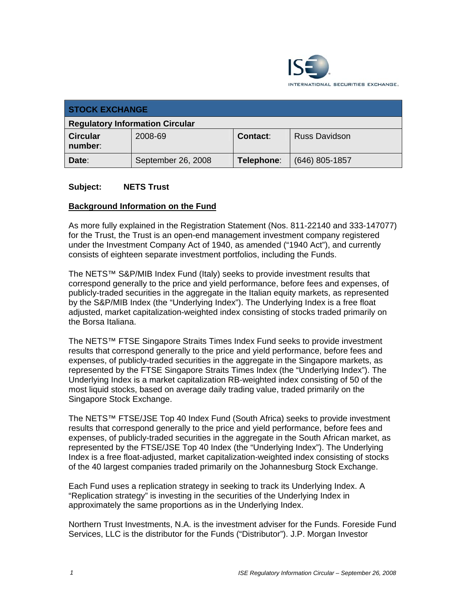

| <b>STOCK EXCHANGE</b>                  |                    |            |                      |
|----------------------------------------|--------------------|------------|----------------------|
| <b>Regulatory Information Circular</b> |                    |            |                      |
| <b>Circular</b><br>number:             | 2008-69            | Contact:   | <b>Russ Davidson</b> |
| Date:                                  | September 26, 2008 | Telephone: | $(646)$ 805-1857     |

#### **Subject: NETS Trust**

#### **Background Information on the Fund**

As more fully explained in the Registration Statement (Nos. 811-22140 and 333-147077) for the Trust, the Trust is an open-end management investment company registered under the Investment Company Act of 1940, as amended ("1940 Act"), and currently consists of eighteen separate investment portfolios, including the Funds.

The NETS™ S&P/MIB Index Fund (Italy) seeks to provide investment results that correspond generally to the price and yield performance, before fees and expenses, of publicly-traded securities in the aggregate in the Italian equity markets, as represented by the S&P/MIB Index (the "Underlying Index"). The Underlying Index is a free float adjusted, market capitalization-weighted index consisting of stocks traded primarily on the Borsa Italiana.

The NETS™ FTSE Singapore Straits Times Index Fund seeks to provide investment results that correspond generally to the price and yield performance, before fees and expenses, of publicly-traded securities in the aggregate in the Singapore markets, as represented by the FTSE Singapore Straits Times Index (the "Underlying Index"). The Underlying Index is a market capitalization RB-weighted index consisting of 50 of the most liquid stocks, based on average daily trading value, traded primarily on the Singapore Stock Exchange.

The NETS™ FTSE/JSE Top 40 Index Fund (South Africa) seeks to provide investment results that correspond generally to the price and yield performance, before fees and expenses, of publicly-traded securities in the aggregate in the South African market, as represented by the FTSE/JSE Top 40 Index (the "Underlying Index"). The Underlying Index is a free float-adjusted, market capitalization-weighted index consisting of stocks of the 40 largest companies traded primarily on the Johannesburg Stock Exchange.

Each Fund uses a replication strategy in seeking to track its Underlying Index. A "Replication strategy" is investing in the securities of the Underlying Index in approximately the same proportions as in the Underlying Index.

Northern Trust Investments, N.A. is the investment adviser for the Funds. Foreside Fund Services, LLC is the distributor for the Funds ("Distributor"). J.P. Morgan Investor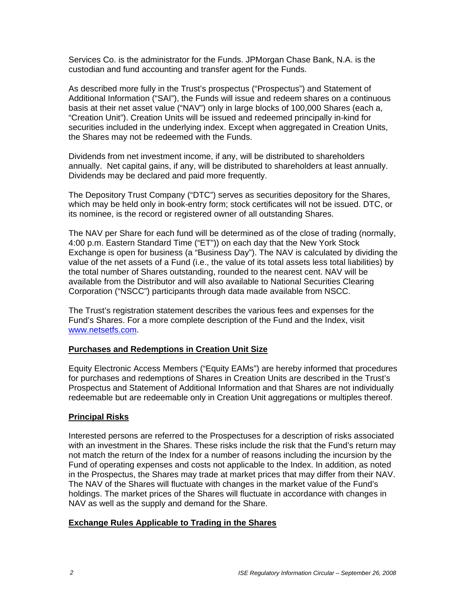Services Co. is the administrator for the Funds. JPMorgan Chase Bank, N.A. is the custodian and fund accounting and transfer agent for the Funds.

As described more fully in the Trust's prospectus ("Prospectus") and Statement of Additional Information ("SAI"), the Funds will issue and redeem shares on a continuous basis at their net asset value ("NAV") only in large blocks of 100,000 Shares (each a, "Creation Unit"). Creation Units will be issued and redeemed principally in-kind for securities included in the underlying index. Except when aggregated in Creation Units, the Shares may not be redeemed with the Funds.

Dividends from net investment income, if any, will be distributed to shareholders annually. Net capital gains, if any, will be distributed to shareholders at least annually. Dividends may be declared and paid more frequently.

The Depository Trust Company ("DTC") serves as securities depository for the Shares, which may be held only in book-entry form; stock certificates will not be issued. DTC, or its nominee, is the record or registered owner of all outstanding Shares.

The NAV per Share for each fund will be determined as of the close of trading (normally, 4:00 p.m. Eastern Standard Time ("ET")) on each day that the New York Stock Exchange is open for business (a "Business Day"). The NAV is calculated by dividing the value of the net assets of a Fund (i.e., the value of its total assets less total liabilities) by the total number of Shares outstanding, rounded to the nearest cent. NAV will be available from the Distributor and will also available to National Securities Clearing Corporation ("NSCC") participants through data made available from NSCC.

The Trust's registration statement describes the various fees and expenses for the Fund's Shares. For a more complete description of the Fund and the Index, visit www.netsetfs.com.

### **Purchases and Redemptions in Creation Unit Size**

Equity Electronic Access Members ("Equity EAMs") are hereby informed that procedures for purchases and redemptions of Shares in Creation Units are described in the Trust's Prospectus and Statement of Additional Information and that Shares are not individually redeemable but are redeemable only in Creation Unit aggregations or multiples thereof.

### **Principal Risks**

Interested persons are referred to the Prospectuses for a description of risks associated with an investment in the Shares. These risks include the risk that the Fund's return may not match the return of the Index for a number of reasons including the incursion by the Fund of operating expenses and costs not applicable to the Index. In addition, as noted in the Prospectus, the Shares may trade at market prices that may differ from their NAV. The NAV of the Shares will fluctuate with changes in the market value of the Fund's holdings. The market prices of the Shares will fluctuate in accordance with changes in NAV as well as the supply and demand for the Share.

#### **Exchange Rules Applicable to Trading in the Shares**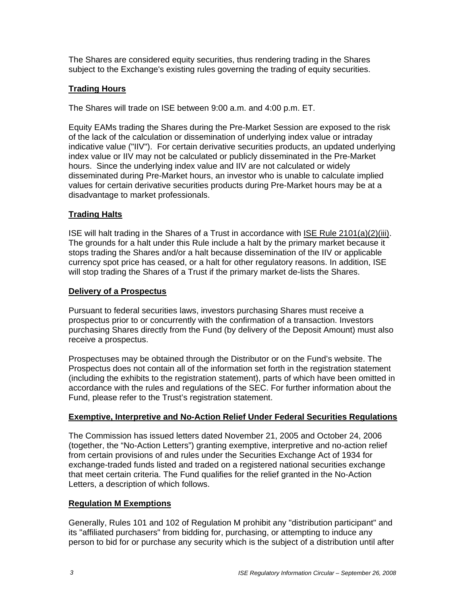The Shares are considered equity securities, thus rendering trading in the Shares subject to the Exchange's existing rules governing the trading of equity securities.

## **Trading Hours**

The Shares will trade on ISE between 9:00 a.m. and 4:00 p.m. ET.

Equity EAMs trading the Shares during the Pre-Market Session are exposed to the risk of the lack of the calculation or dissemination of underlying index value or intraday indicative value ("IIV"). For certain derivative securities products, an updated underlying index value or IIV may not be calculated or publicly disseminated in the Pre-Market hours. Since the underlying index value and IIV are not calculated or widely disseminated during Pre-Market hours, an investor who is unable to calculate implied values for certain derivative securities products during Pre-Market hours may be at a disadvantage to market professionals.

## **Trading Halts**

ISE will halt trading in the Shares of a Trust in accordance with ISE Rule 2101(a)(2)(iii). The grounds for a halt under this Rule include a halt by the primary market because it stops trading the Shares and/or a halt because dissemination of the IIV or applicable currency spot price has ceased, or a halt for other regulatory reasons. In addition, ISE will stop trading the Shares of a Trust if the primary market de-lists the Shares.

### **Delivery of a Prospectus**

Pursuant to federal securities laws, investors purchasing Shares must receive a prospectus prior to or concurrently with the confirmation of a transaction. Investors purchasing Shares directly from the Fund (by delivery of the Deposit Amount) must also receive a prospectus.

Prospectuses may be obtained through the Distributor or on the Fund's website. The Prospectus does not contain all of the information set forth in the registration statement (including the exhibits to the registration statement), parts of which have been omitted in accordance with the rules and regulations of the SEC. For further information about the Fund, please refer to the Trust's registration statement.

### **Exemptive, Interpretive and No-Action Relief Under Federal Securities Regulations**

The Commission has issued letters dated November 21, 2005 and October 24, 2006 (together, the "No-Action Letters") granting exemptive, interpretive and no-action relief from certain provisions of and rules under the Securities Exchange Act of 1934 for exchange-traded funds listed and traded on a registered national securities exchange that meet certain criteria. The Fund qualifies for the relief granted in the No-Action Letters, a description of which follows.

### **Regulation M Exemptions**

Generally, Rules 101 and 102 of Regulation M prohibit any "distribution participant" and its "affiliated purchasers" from bidding for, purchasing, or attempting to induce any person to bid for or purchase any security which is the subject of a distribution until after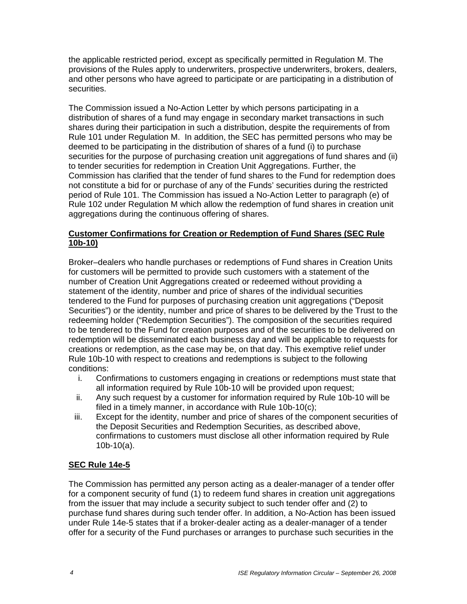the applicable restricted period, except as specifically permitted in Regulation M. The provisions of the Rules apply to underwriters, prospective underwriters, brokers, dealers, and other persons who have agreed to participate or are participating in a distribution of securities.

The Commission issued a No-Action Letter by which persons participating in a distribution of shares of a fund may engage in secondary market transactions in such shares during their participation in such a distribution, despite the requirements of from Rule 101 under Regulation M. In addition, the SEC has permitted persons who may be deemed to be participating in the distribution of shares of a fund (i) to purchase securities for the purpose of purchasing creation unit aggregations of fund shares and (ii) to tender securities for redemption in Creation Unit Aggregations. Further, the Commission has clarified that the tender of fund shares to the Fund for redemption does not constitute a bid for or purchase of any of the Funds' securities during the restricted period of Rule 101. The Commission has issued a No-Action Letter to paragraph (e) of Rule 102 under Regulation M which allow the redemption of fund shares in creation unit aggregations during the continuous offering of shares.

## **Customer Confirmations for Creation or Redemption of Fund Shares (SEC Rule 10b-10)**

Broker–dealers who handle purchases or redemptions of Fund shares in Creation Units for customers will be permitted to provide such customers with a statement of the number of Creation Unit Aggregations created or redeemed without providing a statement of the identity, number and price of shares of the individual securities tendered to the Fund for purposes of purchasing creation unit aggregations ("Deposit Securities") or the identity, number and price of shares to be delivered by the Trust to the redeeming holder ("Redemption Securities"). The composition of the securities required to be tendered to the Fund for creation purposes and of the securities to be delivered on redemption will be disseminated each business day and will be applicable to requests for creations or redemption, as the case may be, on that day. This exemptive relief under Rule 10b-10 with respect to creations and redemptions is subject to the following conditions:

- i. Confirmations to customers engaging in creations or redemptions must state that all information required by Rule 10b-10 will be provided upon request;
- ii. Any such request by a customer for information required by Rule 10b-10 will be filed in a timely manner, in accordance with Rule 10b-10(c);
- iii. Except for the identity, number and price of shares of the component securities of the Deposit Securities and Redemption Securities, as described above, confirmations to customers must disclose all other information required by Rule 10b-10(a).

## **SEC Rule 14e-5**

The Commission has permitted any person acting as a dealer-manager of a tender offer for a component security of fund (1) to redeem fund shares in creation unit aggregations from the issuer that may include a security subject to such tender offer and (2) to purchase fund shares during such tender offer. In addition, a No-Action has been issued under Rule 14e-5 states that if a broker-dealer acting as a dealer-manager of a tender offer for a security of the Fund purchases or arranges to purchase such securities in the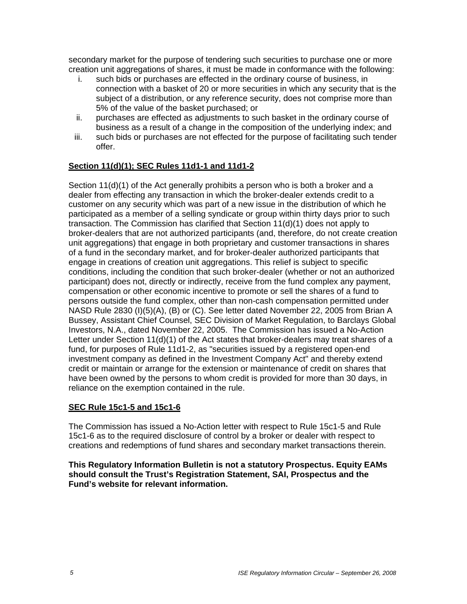secondary market for the purpose of tendering such securities to purchase one or more creation unit aggregations of shares, it must be made in conformance with the following:

- i. such bids or purchases are effected in the ordinary course of business, in connection with a basket of 20 or more securities in which any security that is the subject of a distribution, or any reference security, does not comprise more than 5% of the value of the basket purchased; or
- ii. purchases are effected as adjustments to such basket in the ordinary course of business as a result of a change in the composition of the underlying index; and
- iii. such bids or purchases are not effected for the purpose of facilitating such tender offer.

## **Section 11(d)(1); SEC Rules 11d1-1 and 11d1-2**

Section 11(d)(1) of the Act generally prohibits a person who is both a broker and a dealer from effecting any transaction in which the broker-dealer extends credit to a customer on any security which was part of a new issue in the distribution of which he participated as a member of a selling syndicate or group within thirty days prior to such transaction. The Commission has clarified that Section 11(d)(1) does not apply to broker-dealers that are not authorized participants (and, therefore, do not create creation unit aggregations) that engage in both proprietary and customer transactions in shares of a fund in the secondary market, and for broker-dealer authorized participants that engage in creations of creation unit aggregations. This relief is subject to specific conditions, including the condition that such broker-dealer (whether or not an authorized participant) does not, directly or indirectly, receive from the fund complex any payment, compensation or other economic incentive to promote or sell the shares of a fund to persons outside the fund complex, other than non-cash compensation permitted under NASD Rule 2830 (I)(5)(A), (B) or (C). See letter dated November 22, 2005 from Brian A Bussey, Assistant Chief Counsel, SEC Division of Market Regulation, to Barclays Global Investors, N.A., dated November 22, 2005. The Commission has issued a No-Action Letter under Section 11(d)(1) of the Act states that broker-dealers may treat shares of a fund, for purposes of Rule 11d1-2, as "securities issued by a registered open-end investment company as defined in the Investment Company Act" and thereby extend credit or maintain or arrange for the extension or maintenance of credit on shares that have been owned by the persons to whom credit is provided for more than 30 days, in reliance on the exemption contained in the rule.

### **SEC Rule 15c1-5 and 15c1-6**

The Commission has issued a No-Action letter with respect to Rule 15c1-5 and Rule 15c1-6 as to the required disclosure of control by a broker or dealer with respect to creations and redemptions of fund shares and secondary market transactions therein.

**This Regulatory Information Bulletin is not a statutory Prospectus. Equity EAMs should consult the Trust's Registration Statement, SAI, Prospectus and the Fund's website for relevant information.**